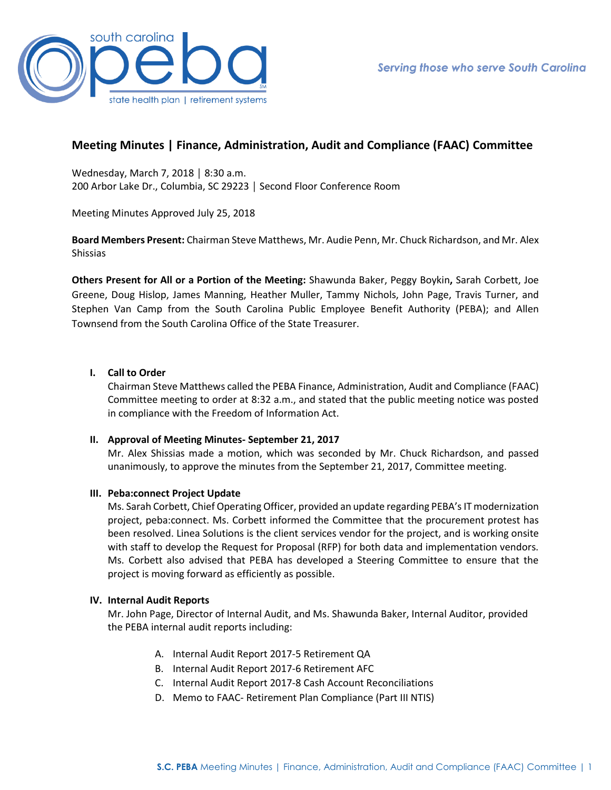

# **Meeting Minutes | Finance, Administration, Audit and Compliance (FAAC) Committee**

Wednesday, March 7, 2018 │ 8:30 a.m. 200 Arbor Lake Dr., Columbia, SC 29223 │ Second Floor Conference Room

Meeting Minutes Approved July 25, 2018

**Board Members Present:** Chairman Steve Matthews, Mr. Audie Penn, Mr. Chuck Richardson, and Mr. Alex Shissias

**Others Present for All or a Portion of the Meeting:** Shawunda Baker, Peggy Boykin**,** Sarah Corbett, Joe Greene, Doug Hislop, James Manning, Heather Muller, Tammy Nichols, John Page, Travis Turner, and Stephen Van Camp from the South Carolina Public Employee Benefit Authority (PEBA); and Allen Townsend from the South Carolina Office of the State Treasurer.

## **I. Call to Order**

Chairman Steve Matthews called the PEBA Finance, Administration, Audit and Compliance (FAAC) Committee meeting to order at 8:32 a.m., and stated that the public meeting notice was posted in compliance with the Freedom of Information Act.

### **II. Approval of Meeting Minutes- September 21, 2017**

Mr. Alex Shissias made a motion, which was seconded by Mr. Chuck Richardson, and passed unanimously, to approve the minutes from the September 21, 2017, Committee meeting.

### **III. Peba:connect Project Update**

Ms. Sarah Corbett, Chief Operating Officer, provided an update regarding PEBA's IT modernization project, peba:connect. Ms. Corbett informed the Committee that the procurement protest has been resolved. Linea Solutions is the client services vendor for the project, and is working onsite with staff to develop the Request for Proposal (RFP) for both data and implementation vendors. Ms. Corbett also advised that PEBA has developed a Steering Committee to ensure that the project is moving forward as efficiently as possible.

### **IV. Internal Audit Reports**

Mr. John Page, Director of Internal Audit, and Ms. Shawunda Baker, Internal Auditor, provided the PEBA internal audit reports including:

- A. Internal Audit Report 2017-5 Retirement QA
- B. Internal Audit Report 2017-6 Retirement AFC
- C. Internal Audit Report 2017-8 Cash Account Reconciliations
- D. Memo to FAAC- Retirement Plan Compliance (Part III NTIS)